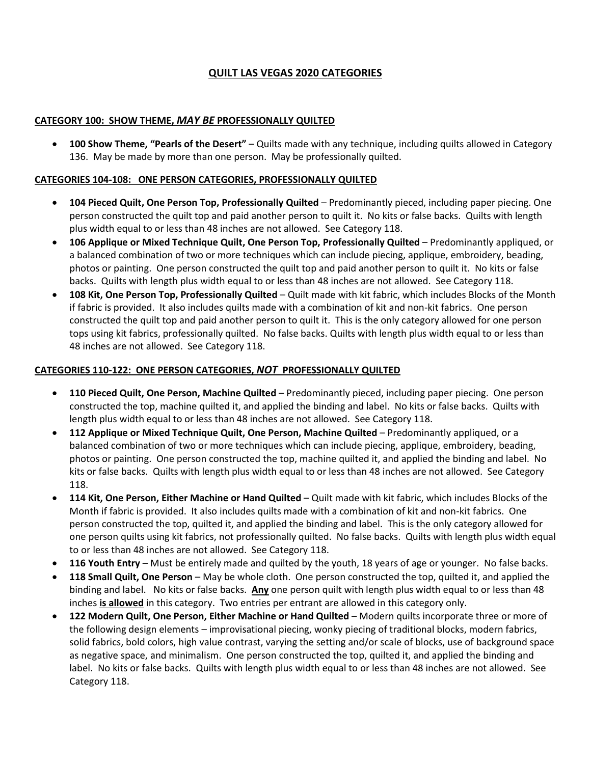# **QUILT LAS VEGAS 2020 CATEGORIES**

### **CATEGORY 100: SHOW THEME,** *MAY BE* **PROFESSIONALLY QUILTED**

• **100 Show Theme, "Pearls of the Desert"** – Quilts made with any technique, including quilts allowed in Category 136. May be made by more than one person. May be professionally quilted.

### **CATEGORIES 104-108: ONE PERSON CATEGORIES, PROFESSIONALLY QUILTED**

- **104 Pieced Quilt, One Person Top, Professionally Quilted**  Predominantly pieced, including paper piecing. One person constructed the quilt top and paid another person to quilt it. No kits or false backs. Quilts with length plus width equal to or less than 48 inches are not allowed. See Category 118.
- **106 Applique or Mixed Technique Quilt, One Person Top, Professionally Quilted**  Predominantly appliqued, or a balanced combination of two or more techniques which can include piecing, applique, embroidery, beading, photos or painting. One person constructed the quilt top and paid another person to quilt it. No kits or false backs. Quilts with length plus width equal to or less than 48 inches are not allowed. See Category 118.
- **108 Kit, One Person Top, Professionally Quilted**  Quilt made with kit fabric, which includes Blocks of the Month if fabric is provided. It also includes quilts made with a combination of kit and non-kit fabrics. One person constructed the quilt top and paid another person to quilt it. This is the only category allowed for one person tops using kit fabrics, professionally quilted. No false backs. Quilts with length plus width equal to or less than 48 inches are not allowed. See Category 118.

### **CATEGORIES 110-122: ONE PERSON CATEGORIES,** *NOT* **PROFESSIONALLY QUILTED**

- **110 Pieced Quilt, One Person, Machine Quilted**  Predominantly pieced, including paper piecing. One person constructed the top, machine quilted it, and applied the binding and label. No kits or false backs. Quilts with length plus width equal to or less than 48 inches are not allowed. See Category 118.
- **112 Applique or Mixed Technique Quilt, One Person, Machine Quilted**  Predominantly appliqued, or a balanced combination of two or more techniques which can include piecing, applique, embroidery, beading, photos or painting. One person constructed the top, machine quilted it, and applied the binding and label. No kits or false backs. Quilts with length plus width equal to or less than 48 inches are not allowed. See Category 118.
- **114 Kit, One Person, Either Machine or Hand Quilted**  Quilt made with kit fabric, which includes Blocks of the Month if fabric is provided. It also includes quilts made with a combination of kit and non-kit fabrics. One person constructed the top, quilted it, and applied the binding and label. This is the only category allowed for one person quilts using kit fabrics, not professionally quilted. No false backs. Quilts with length plus width equal to or less than 48 inches are not allowed. See Category 118.
- **116 Youth Entry** Must be entirely made and quilted by the youth, 18 years of age or younger. No false backs.
- **118 Small Quilt, One Person** May be whole cloth. One person constructed the top, quilted it, and applied the binding and label. No kits or false backs. **Any** one person quilt with length plus width equal to or less than 48 inches **is allowed** in this category. Two entries per entrant are allowed in this category only.
- **122 Modern Quilt, One Person, Either Machine or Hand Quilted** Modern quilts incorporate three or more of the following design elements – improvisational piecing, wonky piecing of traditional blocks, modern fabrics, solid fabrics, bold colors, high value contrast, varying the setting and/or scale of blocks, use of background space as negative space, and minimalism. One person constructed the top, quilted it, and applied the binding and label. No kits or false backs. Quilts with length plus width equal to or less than 48 inches are not allowed. See Category 118.